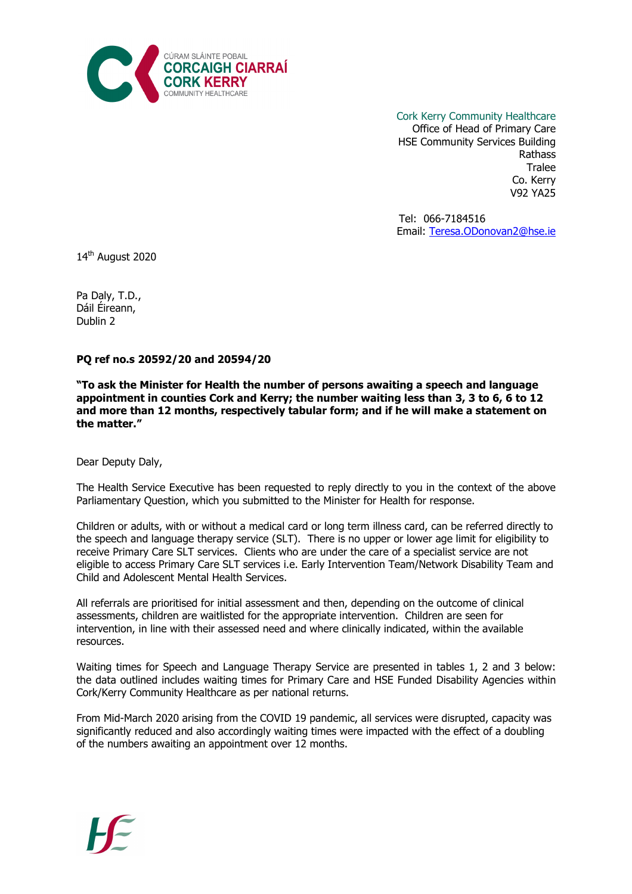

Cork Kerry Community Healthcare Office of Head of Primary Care HSE Community Services Building Rathass **Tralee** Co. Kerry V92 YA25

> Tel: 066-7184516 Email: Teresa.ODonovan2@hse.ie

14<sup>th</sup> August 2020

Pa Daly, T.D., Dáil Éireann, Dublin 2

PQ ref no.s 20592/20 and 20594/20

"To ask the Minister for Health the number of persons awaiting a speech and language appointment in counties Cork and Kerry; the number waiting less than 3, 3 to 6, 6 to 12 and more than 12 months, respectively tabular form; and if he will make a statement on the matter."

Dear Deputy Daly,

The Health Service Executive has been requested to reply directly to you in the context of the above Parliamentary Question, which you submitted to the Minister for Health for response.

Children or adults, with or without a medical card or long term illness card, can be referred directly to the speech and language therapy service (SLT). There is no upper or lower age limit for eligibility to receive Primary Care SLT services. Clients who are under the care of a specialist service are not eligible to access Primary Care SLT services i.e. Early Intervention Team/Network Disability Team and Child and Adolescent Mental Health Services.

All referrals are prioritised for initial assessment and then, depending on the outcome of clinical assessments, children are waitlisted for the appropriate intervention. Children are seen for intervention, in line with their assessed need and where clinically indicated, within the available resources.

Waiting times for Speech and Language Therapy Service are presented in tables 1, 2 and 3 below: the data outlined includes waiting times for Primary Care and HSE Funded Disability Agencies within Cork/Kerry Community Healthcare as per national returns.

From Mid-March 2020 arising from the COVID 19 pandemic, all services were disrupted, capacity was significantly reduced and also accordingly waiting times were impacted with the effect of a doubling of the numbers awaiting an appointment over 12 months.